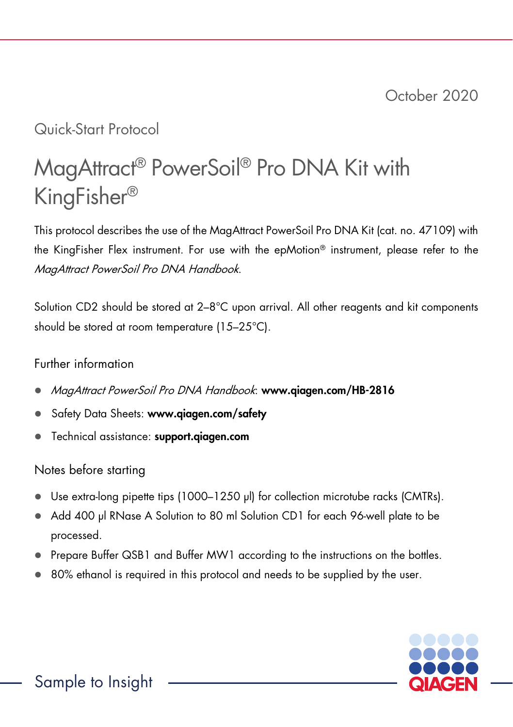# Quick-Start Protocol

# MagAttract® PowerSoil® Pro DNA Kit with KingFisher®

This protocol describes the use of the MagAttract PowerSoil Pro DNA Kit (cat. no. 47109) with the KingFisher Flex instrument. For use with the epMotion® instrument, please refer to the MagAttract PowerSoil Pro DNA Handbook.

Solution CD2 should be stored at 2–8°C upon arrival. All other reagents and kit components should be stored at room temperature (15–25°C).

## Further information

- MagAttract PowerSoil Pro DNA Handbook: www.qiagen.com/HB-2816
- Safety Data Sheets: www.qiagen.com/safety
- **•** Technical assistance: <support.qiagen.com>

# Notes before starting

- Use extra-long pipette tips (1000–1250 µl) for collection microtube racks (CMTRs).
- Add 400 µl RNase A Solution to 80 ml Solution CD1 for each 96-well plate to be processed.
- Prepare Buffer QSB1 and Buffer MW1 according to the instructions on the bottles.
- 80% ethanol is required in this protocol and needs to be supplied by the user.

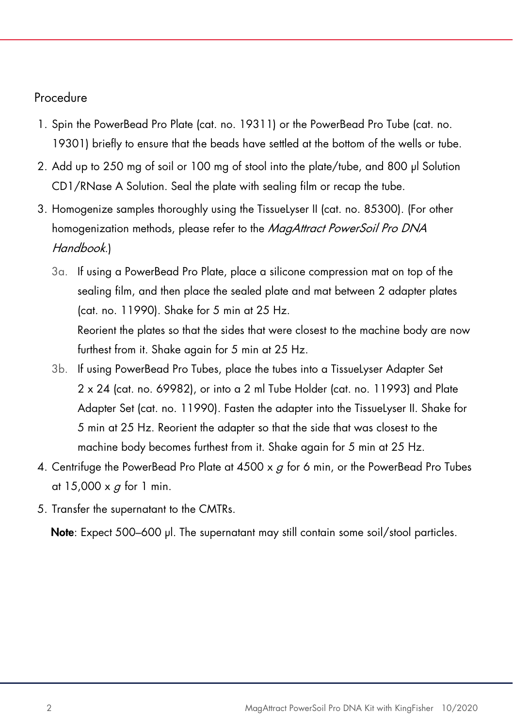### Procedure

- 1. Spin the PowerBead Pro Plate (cat. no. 19311) or the PowerBead Pro Tube (cat. no. 19301) briefly to ensure that the beads have settled at the bottom of the wells or tube.
- 2. Add up to 250 mg of soil or 100 mg of stool into the plate/tube, and 800 µl Solution CD1/RNase A Solution. Seal the plate with sealing film or recap the tube.
- 3. Homogenize samples thoroughly using the TissueLyser II (cat. no. 85300). (For other homogenization methods, please refer to the MagAttract PowerSoil Pro DNA Handbook.)
	- 3a. If using a PowerBead Pro Plate, place a silicone compression mat on top of the sealing film, and then place the sealed plate and mat between 2 adapter plates (cat. no. 11990). Shake for 5 min at 25 Hz. Reorient the plates so that the sides that were closest to the machine body are now furthest from it. Shake again for 5 min at 25 Hz.
	- 3b. If using PowerBead Pro Tubes, place the tubes into a TissueLyser Adapter Set 2 x 24 (cat. no. 69982), or into a 2 ml Tube Holder (cat. no. 11993) and Plate Adapter Set (cat. no. 11990). Fasten the adapter into the TissueLyser II. Shake for 5 min at 25 Hz. Reorient the adapter so that the side that was closest to the machine body becomes furthest from it. Shake again for 5 min at 25 Hz.
- 4. Centrifuge the PowerBead Pro Plate at  $4500 \times g$  for 6 min, or the PowerBead Pro Tubes at  $15,000 \times g$  for 1 min.
- 5. Transfer the supernatant to the CMTRs.

Note: Expect 500–600 µl. The supernatant may still contain some soil/stool particles.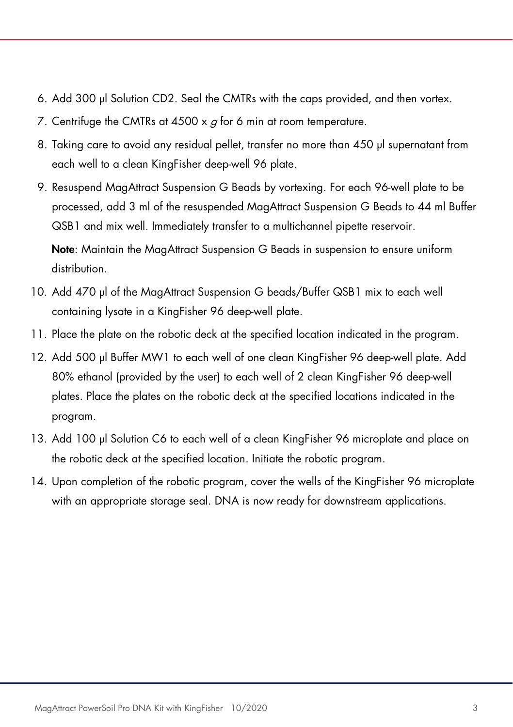- 6. Add 300 μl Solution CD2. Seal the CMTRs with the caps provided, and then vortex.
- 7. Centrifuge the CMTRs at  $4500 \times q$  for 6 min at room temperature.
- 8. Taking care to avoid any residual pellet, transfer no more than 450 µl supernatant from each well to a clean KingFisher deep-well 96 plate.
- 9. Resuspend MagAttract Suspension G Beads by vortexing. For each 96-well plate to be processed, add 3 ml of the resuspended MagAttract Suspension G Beads to 44 ml Buffer QSB1 and mix well. Immediately transfer to a multichannel pipette reservoir.

Note: Maintain the MagAttract Suspension G Beads in suspension to ensure uniform distribution.

- 10. Add 470 µl of the MagAttract Suspension G beads/Buffer QSB1 mix to each well containing lysate in a KingFisher 96 deep-well plate.
- 11. Place the plate on the robotic deck at the specified location indicated in the program.
- 12. Add 500 µl Buffer MW1 to each well of one clean KingFisher 96 deep-well plate. Add 80% ethanol (provided by the user) to each well of 2 clean KingFisher 96 deep-well plates. Place the plates on the robotic deck at the specified locations indicated in the program.
- 13. Add 100 µl Solution C6 to each well of a clean KingFisher 96 microplate and place on the robotic deck at the specified location. Initiate the robotic program.
- 14. Upon completion of the robotic program, cover the wells of the KingFisher 96 microplate with an appropriate storage seal. DNA is now ready for downstream applications.